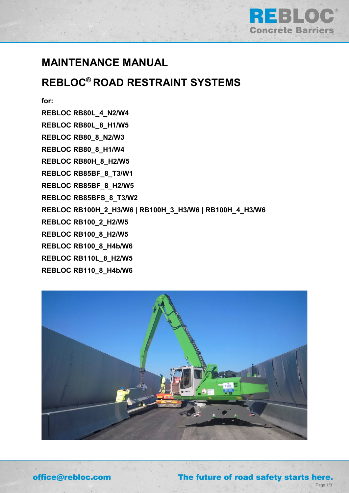

## **MAINTENANCE MANUAL**

# **REBLOC® ROAD RESTRAINT SYSTEMS**

**for:**

**REBLOC RB80L\_4\_N2/W4 REBLOC RB80L\_8\_H1/W5 REBLOC RB80\_8\_N2/W3 REBLOC RB80\_8\_H1/W4 REBLOC RB80H\_8\_H2/W5 REBLOC RB85BF\_8\_T3/W1 REBLOC RB85BF\_8\_H2/W5 REBLOC RB85BFS\_8\_T3/W2 REBLOC RB100H\_2\_H3/W6 | RB100H\_3\_H3/W6 | RB100H\_4\_H3/W6 REBLOC RB100\_2\_H2/W5 REBLOC RB100\_8\_H2/W5 REBLOC RB100\_8\_H4b/W6 REBLOC RB110L\_8\_H2/W5 REBLOC RB110\_8\_H4b/W6**



Page 1/3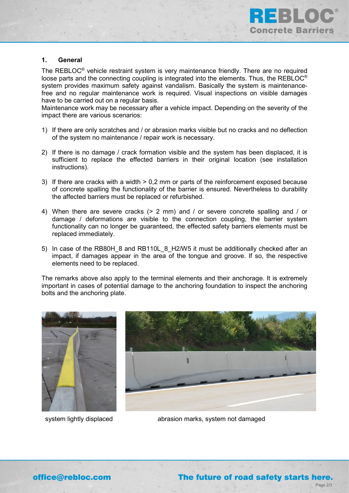

#### **1. General**

The REBLOC® vehicle restraint system is very maintenance friendly. There are no required loose parts and the connecting coupling is integrated into the elements. Thus, the REBLOC® system provides maximum safety against vandalism. Basically the system is maintenancefree and no regular maintenance work is required. Visual inspections on visible damages have to be carried out on a regular basis.

Maintenance work may be necessary after a vehicle impact. Depending on the severity of the impact there are various scenarios:

- 1) If there are only scratches and / or abrasion marks visible but no cracks and no deflection of the system no maintenance / repair work is necessary.
- 2) If there is no damage / crack formation visible and the system has been displaced, it is sufficient to replace the effected barriers in their original location (see installation instructions).
- 3) If there are cracks with a width > 0,2 mm or parts of the reinforcement exposed because of concrete spalling the functionality of the barrier is ensured. Nevertheless to durability the affected barriers must be replaced or refurbished.
- 4) When there are severe cracks (> 2 mm) and / or severe concrete spalling and / or damage / deformations are visible to the connection coupling, the barrier system functionality can no longer be guaranteed, the effected safety barriers elements must be replaced immediately.
- 5) In case of the RB80H 8 and RB110L 8 H2/W5 it must be additionally checked after an impact, if damages appear in the area of the tongue and groove. If so, the respective elements need to be replaced.

The remarks above also apply to the terminal elements and their anchorage. It is extremely important in cases of potential damage to the anchoring foundation to inspect the anchoring bolts and the anchoring plate.





system lightly displaced abrasion marks, system not damaged

Page 2/3